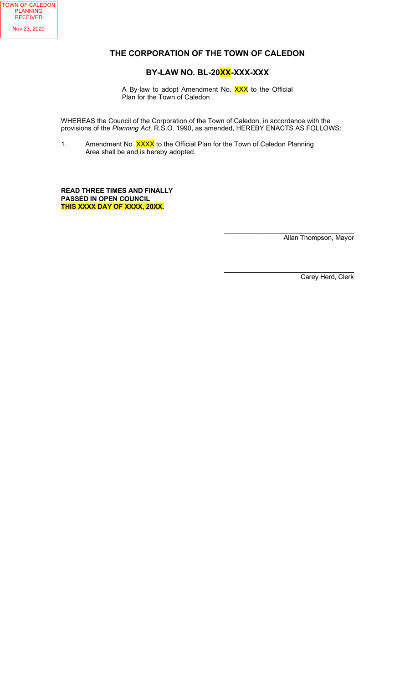

## THE CORPORATION OF THE TOWN OF CALEDON

## BY-LAW NO. BL-20XX-XXX-XXX

A By-law to adopt Amendment No. XXX to the Official Plan for the Town of Caledon

WHEREAS the Council of the Corporation of the Town of Caledon, in accordance with the provisions of the Planning Act, R.S.O. 1990, as amended, HEREBY ENACTS AS FOLLOWS:

1. Amendment No. XXXX to the Official Plan for the Town of Caledon Planning Area shall be and is hereby adopted.

READ THREE TIMES AND FINALLY PASSED IN OPEN COUNCIL THIS XXXX DAY OF XXXX, 20XX.

> $\mathcal{L}_\text{max}$  , and the contract of the contract of the contract of the contract of the contract of the contract of the contract of the contract of the contract of the contract of the contract of the contract of the contr Allan Thompson, Mayor

> $\overline{\phantom{a}}$  , and the contract of the contract of the contract of the contract of the contract of the contract of the contract of the contract of the contract of the contract of the contract of the contract of the contrac Carey Herd, Clerk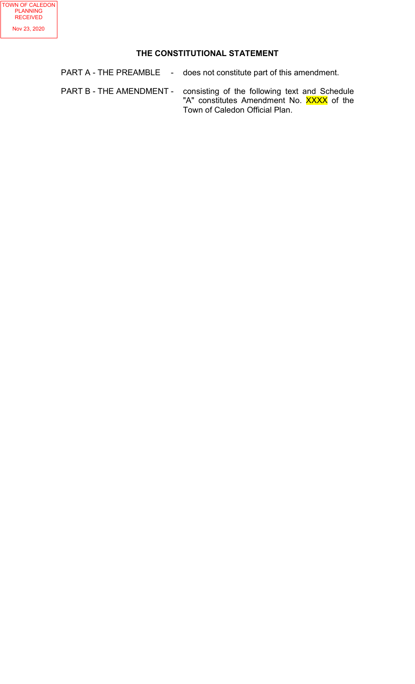# THE CONSTITUTIONAL STATEMENT

PART A - THE PREAMBLE - does not constitute part of this amendment.

PART B - THE AMENDMENT - consisting of the following text and Schedule "A" constitutes Amendment No. <mark>XXXX</mark> of the Town of Caledon Official Plan.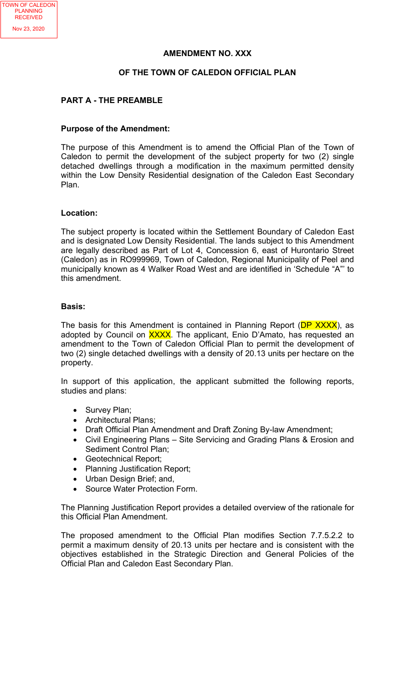### AMENDMENT NO. XXX

## OF THE TOWN OF CALEDON OFFICIAL PLAN

## PART A - THE PREAMBLE

#### Purpose of the Amendment:

The purpose of this Amendment is to amend the Official Plan of the Town of Caledon to permit the development of the subject property for two (2) single detached dwellings through a modification in the maximum permitted density within the Low Density Residential designation of the Caledon East Secondary Plan.

### Location:

The subject property is located within the Settlement Boundary of Caledon East and is designated Low Density Residential. The lands subject to this Amendment are legally described as Part of Lot 4, Concession 6, east of Hurontario Street (Caledon) as in RO999969, Town of Caledon, Regional Municipality of Peel and municipally known as 4 Walker Road West and are identified in 'Schedule "A"' to this amendment.

### Basis:

The basis for this Amendment is contained in Planning Report (DP XXXX), as adopted by Council on XXXX. The applicant, Enio D'Amato, has requested an amendment to the Town of Caledon Official Plan to permit the development of two (2) single detached dwellings with a density of 20.13 units per hectare on the property.

In support of this application, the applicant submitted the following reports, studies and plans:

- Survey Plan;
- Architectural Plans;
- Draft Official Plan Amendment and Draft Zoning By-law Amendment;
- Civil Engineering Plans Site Servicing and Grading Plans & Erosion and Sediment Control Plan;
- Geotechnical Report;
- Planning Justification Report;
- Urban Design Brief; and,
- Source Water Protection Form.

The Planning Justification Report provides a detailed overview of the rationale for this Official Plan Amendment.

The proposed amendment to the Official Plan modifies Section 7.7.5.2.2 to permit a maximum density of 20.13 units per hectare and is consistent with the objectives established in the Strategic Direction and General Policies of the Official Plan and Caledon East Secondary Plan.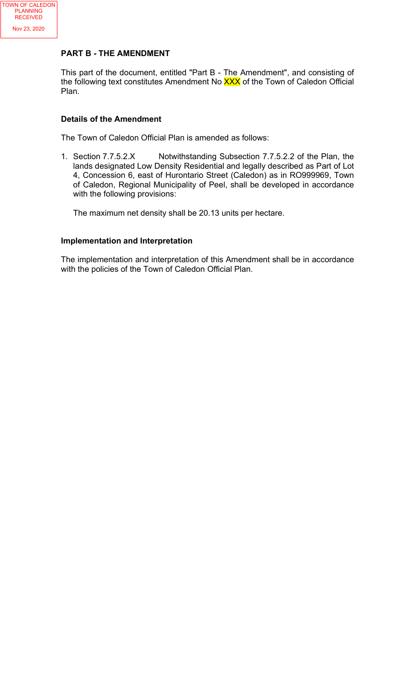

# PART B - THE AMENDMENT

This part of the document, entitled "Part B - The Amendment", and consisting of the following text constitutes Amendment No XXX of the Town of Caledon Official Plan.

# Details of the Amendment

The Town of Caledon Official Plan is amended as follows:

1. Section 7.7.5.2.X Notwithstanding Subsection 7.7.5.2.2 of the Plan, the lands designated Low Density Residential and legally described as Part of Lot 4, Concession 6, east of Hurontario Street (Caledon) as in RO999969, Town of Caledon, Regional Municipality of Peel, shall be developed in accordance with the following provisions:

The maximum net density shall be 20.13 units per hectare.

# Implementation and Interpretation

The implementation and interpretation of this Amendment shall be in accordance with the policies of the Town of Caledon Official Plan.